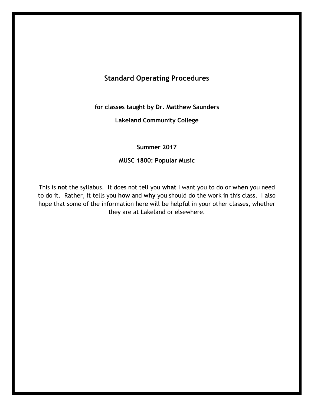# **Standard Operating Procedures**

**for classes taught by Dr. Matthew Saunders** 

**Lakeland Community College** 

**Summer 2017** 

## **MUSC 1800: Popular Music**

This is **not** the syllabus. It does not tell you **what** I want you to do or **when** you need to do it. Rather, it tells you **how** and **why** you should do the work in this class. I also hope that some of the information here will be helpful in your other classes, whether they are at Lakeland or elsewhere.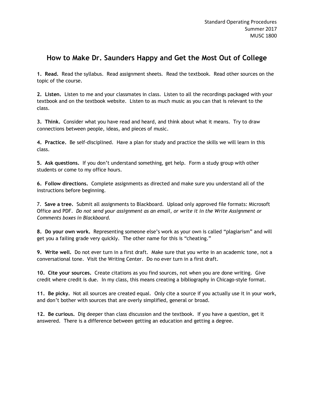# **How to Make Dr. Saunders Happy and Get the Most Out of College**

**1. Read.** Read the syllabus. Read assignment sheets. Read the textbook. Read other sources on the topic of the course.

**2. Listen.** Listen to me and your classmates in class. Listen to all the recordings packaged with your textbook and on the textbook website. Listen to as much music as you can that is relevant to the class.

**3. Think.** Consider what you have read and heard, and think about what it means. Try to draw connections between people, ideas, and pieces of music.

**4. Practice.** Be self-disciplined. Have a plan for study and practice the skills we will learn in this class.

**5. Ask questions.** If you don't understand something, get help. Form a study group with other students or come to my office hours.

**6. Follow directions.** Complete assignments as directed and make sure you understand all of the instructions before beginning.

7. **Save a tree.** Submit all assignments to Blackboard. Upload only approved file formats: Microsoft Office and PDF. *Do not send your assignment as an email, or write it in the Write Assignment or Comments boxes in Blackboard.*

**8. Do your own work.** Representing someone else's work as your own is called "plagiarism" and will get you a failing grade very quickly. The other name for this is "cheating."

**9. Write well.** Do not ever turn in a first draft. Make sure that you write in an academic tone, not a conversational tone. Visit the Writing Center. Do no ever turn in a first draft.

**10. Cite your sources.** Create citations as you find sources, not when you are done writing. Give credit where credit is due. In my class, this means creating a bibliography in Chicago-style format.

**11. Be picky.** Not all sources are created equal. Only cite a source if you actually use it in your work, and don't bother with sources that are overly simplified, general or broad.

**12. Be curious.** Dig deeper than class discussion and the textbook. If you have a question, get it answered. There is a difference between getting an education and getting a degree.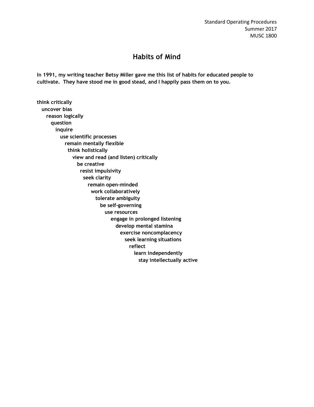## **Habits of Mind**

**In 1991, my writing teacher Betsy Miller gave me this list of habits for educated people to cultivate. They have stood me in good stead, and I happily pass them on to you.** 

**think critically uncover bias reason logically question inquire use scientific processes remain mentally flexible think holistically view and read (and listen) critically be creative resist impulsivity seek clarity remain open-minded work collaboratively tolerate ambiguity be self-governing use resources engage in prolonged listening develop mental stamina exercise noncomplacency seek learning situations reflect learn independently stay intellectually active**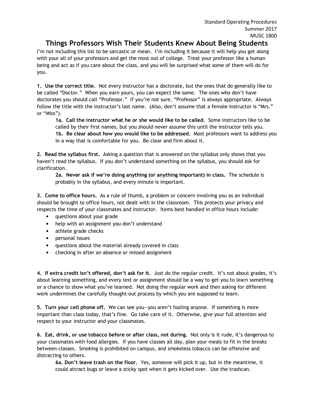## **Things Professors Wish Their Students Knew About Being Students**

I'm not including this list to be sarcastic or mean. I'm including it because it will help you get along with your all of your professors and get the most out of college. Treat your professor like a human being and act as if you care about the class, and you will be surprised what some of them will do for you.

**1. Use the correct title.** Not every instructor has a doctorate, but the ones that do generally like to be called "Doctor." When you earn yours, you can expect the same. The ones who don't have doctorates you should call "Professor." If you're not sure, "Professor" is always appropriate. Always follow the title with the instructor's last name. (Also, don't assume that a female instructor is "Mrs." or "Miss").

**1a. Call the instructor what he or she would like to be called.** Some instructors like to be called by their first names, but you should never assume this until the instructor tells you. **1b. Be clear about how you would like to be addressed.** Most professors want to address you in a way that is comfortable for you. Be clear and firm about it.

**2. Read the syllabus first.** Asking a question that is answered on the syllabus only shows that you haven't read the syllabus. If you don't understand something on the syllabus, you should ask for clarification.

**2a. Never ask if we're doing anything (or anything important) in class.** The schedule is probably in the syllabus, and every minute is important.

**3. Come to office hours.** As a rule of thumb, a problem or concern involving you as an individual should be brought to office hours, not dealt with in the classroom. This protects your privacy and respects the time of your classmates and instructor. Items best handled in office hours include:

- questions about your grade
- help with an assignment you don't understand
- athlete grade checks
- personal issues
- questions about the material already covered in class
- checking in after an absence or missed assignment

**4. If extra credit isn't offered, don't ask for it.** Just do the regular credit. It's not about grades, it's about learning something, and every test or assignment should be a way to get you to learn something or a chance to show what you've learned. Not doing the regular work and then asking for different work undermines the carefully thought-out process by which you are supposed to learn.

**5. Turn your cell phone off.** We can see you—you aren't fooling anyone. If something is more important than class today, that's fine. Go take care of it. Otherwise, give your full attention and respect to your instructor and your classmates.

**6. Eat, drink, or use tobacco before or after class, not during.** Not only is it rude, it's dangerous to your classmates with food allergies. If you have classes all day, plan your meals to fit in the breaks between classes. Smoking is prohibited on campus, and smokeless tobacco can be offensive and distracting to others.

**6a. Don't leave trash on the floor.** Yes, someone will pick it up, but in the meantime, it could attract bugs or leave a sticky spot when it gets kicked over. Use the trashcan.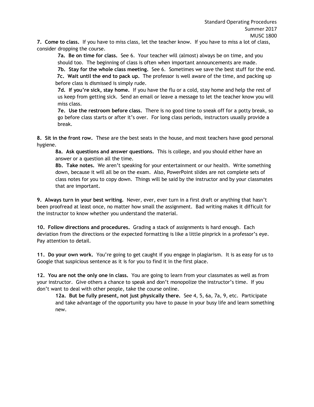**7. Come to class.** If you have to miss class, let the teacher know. If you have to miss a lot of class, consider dropping the course.

**7a. Be on time for class.** See 6. Your teacher will (almost) always be on time, and you should too. The beginning of class is often when important announcements are made.

**7b. Stay for the whole class meeting.** See 6. Sometimes we save the best stuff for the end. **7c. Wait until the end to pack up.** The professor is well aware of the time, and packing up before class is dismissed is simply rude.

**7d. If you're sick, stay home.** If you have the flu or a cold, stay home and help the rest of us keep from getting sick. Send an email or leave a message to let the teacher know you will miss class.

**7e. Use the restroom before class.** There is no good time to sneak off for a potty break, so go before class starts or after it's over. For long class periods, instructors usually provide a break.

**8. Sit in the front row.** These are the best seats in the house, and most teachers have good personal hygiene.

**8a. Ask questions and answer questions.** This is college, and you should either have an answer or a question all the time.

**8b. Take notes.** We aren't speaking for your entertainment or our health. Write something down, because it will all be on the exam. Also, PowerPoint slides are not complete sets of class notes for you to copy down. Things will be said by the instructor and by your classmates that are important.

**9. Always turn in your best writing.** Never, ever, ever turn in a first draft or anything that hasn't been proofread at least once, no matter how small the assignment. Bad writing makes it difficult for the instructor to know whether you understand the material.

**10. Follow directions and procedures.** Grading a stack of assignments is hard enough. Each deviation from the directions or the expected formatting is like a little pinprick in a professor's eye. Pay attention to detail.

**11. Do your own work.** You're going to get caught if you engage in plagiarism. It is as easy for us to Google that suspicious sentence as it is for you to find it in the first place.

**12. You are not the only one in class.** You are going to learn from your classmates as well as from your instructor. Give others a chance to speak and don't monopolize the instructor's time. If you don't want to deal with other people, take the course online.

**12a. But be fully present, not just physically there.** See 4, 5, 6a, 7a, 9, etc. Participate and take advantage of the opportunity you have to pause in your busy life and learn something new.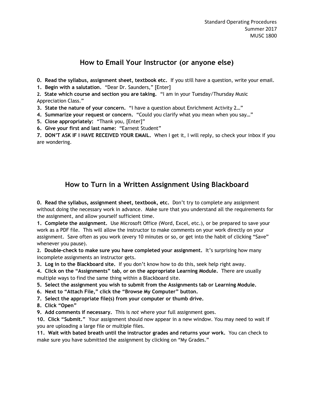## **How to Email Your Instructor (or anyone else)**

**0. Read the syllabus, assignment sheet, textbook etc.** If you still have a question, write your email.

**1. Begin with a salutation.** "Dear Dr. Saunders," [Enter]

**2. State which course and section you are taking.** "I am in your Tuesday/Thursday Music Appreciation Class."

**3. State the nature of your concern.** "I have a question about Enrichment Activity 2…"

**4. Summarize your request or concern.** "Could you clarify what you mean when you say…"

**5. Close appropriately:** "Thank you, [Enter]"

**6. Give your first and last name:** "Earnest Student"

**7. DON'T ASK IF I HAVE RECEIVED YOUR EMAIL.** When I get it, I will reply, so check your inbox if you are wondering.

# **How to Turn in a Written Assignment Using Blackboard**

**0. Read the syllabus, assignment sheet, textbook, etc.** Don't try to complete any assignment without doing the necessary work in advance. Make sure that you understand all the requirements for the assignment, and allow yourself sufficient time.

**1. Complete the assignment.** Use Microsoft Office (Word, Excel, etc.), or be prepared to save your work as a PDF file. This will allow the instructor to make comments on your work directly on your assignment. Save often as you work (every 10 minutes or so, or get into the habit of clicking "Save" whenever you pause).

**2. Double-check to make sure you have completed your assignment.** It's surprising how many incomplete assignments an instructor gets.

**3. Log in to the Blackboard site.** If you don't know how to do this, seek help right away.

**4. Click on the "Assignments" tab, or on the appropriate Learning Module.** There are usually multiple ways to find the same thing within a Blackboard site.

**5. Select the assignment you wish to submit from the Assignments tab or Learning Module.**

**6. Next to "Attach File," click the "Browse My Computer" button.** 

**7. Select the appropriate file(s) from your computer or thumb drive.** 

**8. Click "Open"** 

**9. Add comments if necessary.** This is *not* where your full assignment goes.

**10. Click "Submit."** Your assignment should now appear in a new window. You may need to wait if you are uploading a large file or multiple files.

**11. Wait with bated breath until the instructor grades and returns your work.** You can check to make sure you have submitted the assignment by clicking on "My Grades."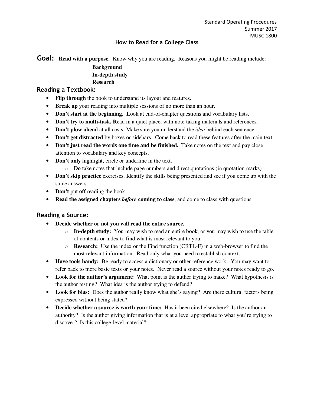#### **How to Read for a College Class**

**Goal:** Read with a purpose. Know why you are reading. Reasons you might be reading include:

#### **Background In-depth study Research**

#### **Reading a Textbook:**

- **Flip through** the book to understand its layout and features.
- **Break up** your reading into multiple sessions of no more than an hour.
- **Don't start at the beginning. L**ook at end-of-chapter questions and vocabulary lists.
- **Don't try to multi-task. Read in a quiet place, with note-taking materials and references.**
- **Don't plow ahead** at all costs. Make sure you understand the *idea* behind each sentence
- **Don't get distracted** by boxes or sidebars. Come back to read these features after the main text.
- **Don't just read the words one time and be finished.** Take notes on the text and pay close attention to vocabulary and key concepts.
- **Don't only** highlight, circle or underline in the text.
	- o **Do** take notes that include page numbers and direct quotations (in quotation marks)
- **Don't skip practice** exercises. Identify the skills being presented and see if you come up with the same answers
- **Don't** put off reading the book.
- **Read the assigned chapters** *before* **coming to class**, and come to class with questions.

#### **Reading a Source:**

- **Decide whether or not you will read the entire source.**
	- o **In-depth study:** You may wish to read an entire book, or you may wish to use the table of contents or index to find what is most relevant to you.
	- o **Research:** Use the index or the Find function (CRTL-F) in a web-browser to find the most relevant information. Read only what you need to establish context.
- **Have tools handy:** Be ready to access a dictionary or other reference work. You may want to refer back to more basic texts or your notes. Never read a source without your notes ready to go.
- **Look for the author's argument:** What point is the author trying to make? What hypothesis is the author testing? What idea is the author trying to defend?
- Look for bias: Does the author really know what she's saying? Are there cultural factors being expressed without being stated?
- **Decide whether a source is worth your time:** Has it been cited elsewhere? Is the author an authority? Is the author giving information that is at a level appropriate to what you're trying to discover? Is this college-level material?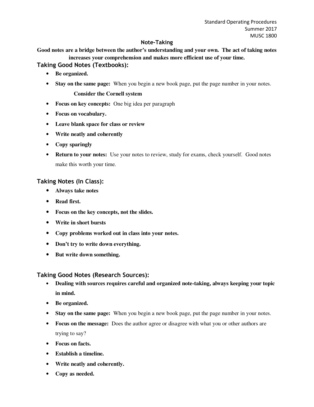#### **Note-Taking**

#### **Good notes are a bridge between the author's understanding and your own. The act of taking notes increases your comprehension and makes more efficient use of your time.**

#### **Taking Good Notes (Textbooks):**

- **Be organized.**
- **Stay on the same page:** When you begin a new book page, put the page number in your notes.

#### **Consider the Cornell system**

- **Focus on key concepts:** One big idea per paragraph
- **Focus on vocabulary.**
- **Leave blank space for class or review**
- **Write neatly and coherently**
- **Copy sparingly**
- **Return to your notes:** Use your notes to review, study for exams, check yourself. Good notes make this worth your time.

#### **Taking Notes (In Class):**

- **Always take notes**
- **Read first.**
- **Focus on the key concepts, not the slides.**
- **Write in short bursts**
- **Copy problems worked out in class into your notes.**
- **Don't try to write down everything.**
- **But write down something.**

#### **Taking Good Notes (Research Sources):**

- **Dealing with sources requires careful and organized note-taking, always keeping your topic in mind.**
- **Be organized.**
- **Stay on the same page:** When you begin a new book page, put the page number in your notes.
- **Focus on the message:** Does the author agree or disagree with what you or other authors are trying to say?
- **Focus on facts.**
- **Establish a timeline.**
- **Write neatly and coherently.**
- **Copy as needed.**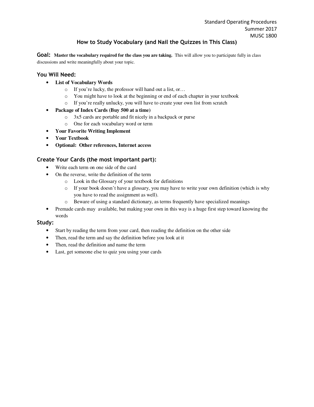#### **How to Study Vocabulary (and Nail the Quizzes in This Class)**

**Goal:** Master the vocabulary required for the class you are taking. This will allow you to participate fully in class discussions and write meaningfully about your topic.

#### **You Will Need:**

- **List of Vocabulary Words**
	- o If you're lucky, the professor will hand out a list, or…
	- o You might have to look at the beginning or end of each chapter in your textbook
	- o If you're really unlucky, you will have to create your own list from scratch
- **Package of Index Cards (Buy 500 at a time)**
	- o 3x5 cards are portable and fit nicely in a backpack or purse
	- o One for each vocabulary word or term
- **Your Favorite Writing Implement**
- **Your Textbook**
- **Optional: Other references, Internet access**

#### **Create Your Cards (the most important part):**

- Write each term on one side of the card
- On the reverse, write the definition of the term
	- o Look in the Glossary of your textbook for definitions
	- o If your book doesn't have a glossary, you may have to write your own definition (which is why you have to read the assignment as well).
	- o Beware of using a standard dictionary, as terms frequently have specialized meanings
- Premade cards may available, but making your own in this way is a huge first step toward knowing the words

#### **Study:**

- Start by reading the term from your card, then reading the definition on the other side
- Then, read the term and say the definition before you look at it
- Then, read the definition and name the term
- Last, get someone else to quiz you using your cards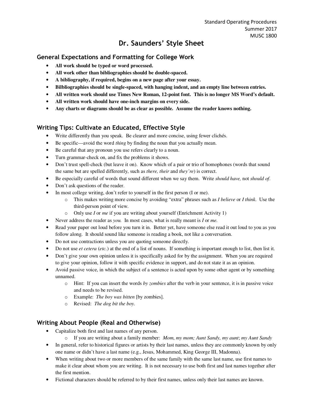# **Dr. Saunders' Style Sheet**

## **General Expectations and Formatting for College Work**

- **All work should be typed or word processed.**
- **All work other than bibliographies should be double-spaced.**
- **A bibliography, if required, begins on a new page after your essay.**
- **Bilbliographies should be single-spaced, with hanging indent, and an empty line between entries.**
- **All written work should use Times New Roman, 12-point font. This is no longer MS Word's default.**
- **All written work should have one-inch margins on every side.**
- **Any charts or diagrams should be as clear as possible. Assume the reader knows nothing.**

## **Writing Tips: Cultivate an Educated, Effective Style**

- Write differently than you speak. Be clearer and more concise, using fewer clichés.
- Be specific—avoid the word *thing* by finding the noun that you actually mean.
- Be careful that any pronoun you use refers clearly to a noun.
- Turn grammar-check on, and fix the problems it shows.
- Don't trust spell-check (but leave it on). Know which of a pair or trio of homophones (words that sound the same but are spelled differently, such as *there, their* and *they're*) is correct.
- Be especially careful of words that sound different when we say them. Write *should have,* not *should of*.
- Don't ask questions of the reader.
- In most college writing, don't refer to yourself in the first person (I or me).
	- o This makes writing more concise by avoiding "extra" phrases such as *I believe* or *I think*. Use the third-person point of view.
	- o Only use *I* or *me* if you are writing about yourself (Enrichment Activity 1)
- Never address the reader as *you.* In most cases, what is really meant is *I* or *me.*
- Read your paper out loud before you turn it in. Better yet, have someone else read it out loud to you as you follow along. It should sound like someone is reading a book, not like a conversation.
- Do not use contractions unless you are quoting someone directly.
- Do not use *et cetera (etc.)* at the end of a list of nouns. If something is important enough to list, then list it.
- Don't give your own opinion unless it is specifically asked for by the assignment. When you are required to give your opinion, follow it with specific evidence in support, and do not state it as an opinion.
- Avoid passive voice, in which the subject of a sentence is acted upon by some other agent or by something unnamed.
	- o Hint: If you can insert the words *by zombies* after the verb in your sentence, it is in passive voice and needs to be revised.
	- o Example: *The boy was bitten* [by zombies].
	- o Revised: *The dog bit the boy.*

## **Writing About People (Real and Otherwise)**

- Capitalize both first and last names of any person.
	- o If you are writing about a family member: *Mom*, *my mom; Aunt Sandy, my aunt*; *my Aunt Sandy*
- In general, refer to historical figures or artists by their last names, unless they are commonly known by only one name or didn't have a last name (e.g., Jesus, Mohammed, King George III, Madonna).
- When writing about two or more members of the same family with the same last name, use first names to make it clear about whom you are writing. It is not necessary to use both first and last names together after the first mention.
- Fictional characters should be referred to by their first names, unless only their last names are known.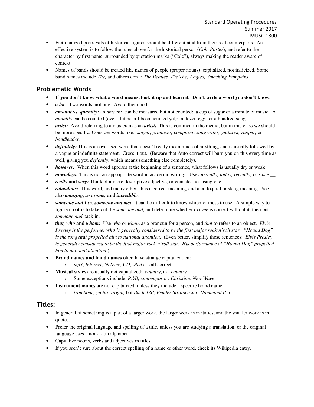- Fictionalized portrayals of historical figures should be differentiated from their real counterparts. An effective system is to follow the rules above for the historical person (*Cole Porter*), and refer to the character by first name, surrounded by quotation marks ("Cole"), always making the reader aware of context.
- Names of bands should be treated like names of people (proper nouns): capitalized, not italicized. Some band names include *The,* and others don't: *The Beatles, The The; Eagles; Smashing Pumpkins*

#### **Problematic Words**

- **If you don't know what a word means, look it up and learn it. Don't write a word you don't know.**
- *a lot*: Two words, not one. Avoid them both.
- *amount* **vs.** *quantity:* an *amount* can be measured but not counted: a cup of sugar or a minute of music. A *quantity* can be counted (even if it hasn't been counted yet): a dozen eggs or a hundred songs.
- *artist:* Avoid referring to a musician as an *artist*. This is common in the media, but in this class we should be more specific. Consider words like: *singer, producer, composer, songwriter, guitarist, rapper,* or *bandleader.*
- *definitely:* This is an overused word that doesn't really mean much of anything, and is usually followed by a vague or indefinite statement. Cross it out. (Beware that Auto-correct will burn you on this every time as well, giving you *defiantly*, which means something else completely).
- *however:* When this word appears at the beginning of a sentence, what follows is usually dry or weak
- *nowadays:* This is not an appropriate word in academic writing. Use *currently, today, recently,* or *since \_\_*
- *really* **and** *very:* Think of a more descriptive adjective, or consider not using one.
- *ridiculous:* This word, and many others, has a correct meaning, and a colloquial or slang meaning. See also *amazing, awesome,* **and** *incredible.*
- *someone and I vs. someone and me*: It can be difficult to know which of these to use. A simple way to figure it out is to take out the *someone and*, and determine whether *I* or *me* is correct without it, then put *someone and* back in.
- *that, who* **and** *whom:* Use *who* or *whom* as a pronoun for a person, and *that* to refers to an object. *Elvis Presley is the performer who is generally considered to be the first major rock'n'roll star. "Hound Dog" is the song that propelled him to national attention.* (Even better, simplify these sentences: *Elvis Presley is generally considered to be the first major rock'n'roll star. His performance of "Hound Dog" propelled him to national attention.*).
- **Brand names and band names** often have strange capitalization:
	- o *mp3*, *Internet*, *'N Sync*, *CD*, *iPod* are all correct.
- **Musical styles** are usually not capitalized: *country*, not *country*
	- o Some exceptions include: *R&B, contemporary Christian*, *New Wave*
	- **Instrument names** are not capitalized, unless they include a specific brand name:
		- o *trombone, guitar, organ,* but *Bach 42B, Fender Stratocaster, Hammond B-3*

#### **Titles:**

- In general, if something is a part of a larger work, the larger work is in italics, and the smaller work is in quotes.
- Prefer the original language and spelling of a title, unless you are studying a translation, or the original language uses a non-Latin alphabet
- Capitalize nouns, verbs and adjectives in titles.
- If you aren't sure about the correct spelling of a name or other word, check its Wikipedia entry.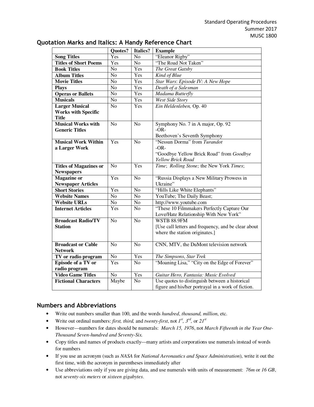|                               | Quotes?         | Italics?        | <b>Example</b>                                      |
|-------------------------------|-----------------|-----------------|-----------------------------------------------------|
| <b>Song Titles</b>            | Yes             | N <sub>o</sub>  | "Eleanor Rigby"                                     |
| <b>Titles of Short Poems</b>  | Yes             | No              | "The Road Not Taken"                                |
| <b>Book Titles</b>            | $\overline{No}$ | Yes             | The Great Gatsby                                    |
| <b>Album Titles</b>           | N <sub>o</sub>  | Yes             | Kind of Blue                                        |
| <b>Movie Titles</b>           | N <sub>o</sub>  | Yes             | Star Wars: Episode IV: A New Hope                   |
| <b>Plays</b>                  | N <sub>o</sub>  | Yes             | Death of a Salesman                                 |
| <b>Operas or Ballets</b>      | No              | Yes             | Madama Butterfly                                    |
| <b>Musicals</b>               | N <sub>o</sub>  | Yes             | <b>West Side Story</b>                              |
| <b>Larger Musical</b>         | N <sub>0</sub>  | Yes             | Ein Heldenleben, Op. 40                             |
| <b>Works with Specific</b>    |                 |                 |                                                     |
| <b>Title</b>                  |                 |                 |                                                     |
| <b>Musical Works with</b>     | N <sub>o</sub>  | N <sub>o</sub>  | Symphony No. 7 in A major, Op. 92                   |
| <b>Generic Titles</b>         |                 |                 | $-OR-$                                              |
|                               |                 |                 | Beethoven's Seventh Symphony                        |
| <b>Musical Work Within</b>    | Yes             | N <sub>o</sub>  | "Nessun Dorma" from Turandot                        |
| a Larger Work                 |                 |                 | $-OR-$                                              |
|                               |                 |                 | "Goodbye Yellow Brick Road" from Goodbye            |
|                               |                 |                 | Yellow Brick Road                                   |
| <b>Titles of Magazines or</b> | N <sub>o</sub>  | Yes             | Time; Rolling Stone; the New York Times;            |
| <b>Newspapers</b>             |                 |                 |                                                     |
| <b>Magazine</b> or            | Yes             | N <sub>o</sub>  | "Russia Displays a New Military Prowess in          |
| <b>Newspaper Articles</b>     |                 |                 | Ukraine"                                            |
| <b>Short Stories</b>          | Yes             | N <sub>o</sub>  | "Hills Like White Elephants"                        |
| <b>Website Names</b>          | $\overline{No}$ | $\overline{No}$ | YouTube; The Daily Beast;                           |
| <b>Website URLs</b>           | N <sub>o</sub>  | N <sub>o</sub>  | http://www.youtube.com                              |
| <b>Internet Articles</b>      | Yes             | N <sub>o</sub>  | "These 10 Filmmakers Perfectly Capture Our          |
|                               |                 |                 | Love/Hate Relationship With New York"               |
| <b>Broadcast Radio/TV</b>     | N <sub>o</sub>  | $\overline{No}$ | WSTB 88.9FM                                         |
| <b>Station</b>                |                 |                 | [Use call letters and frequency, and be clear about |
|                               |                 |                 | where the station originates.]                      |
|                               |                 |                 |                                                     |
| <b>Broadcast or Cable</b>     | N <sub>o</sub>  | N <sub>o</sub>  | CNN, MTV, the DuMont television network             |
| <b>Network</b>                |                 |                 |                                                     |
| TV or radio program           | $\overline{No}$ | Yes             | The Simpsons, Star Trek                             |
| <b>Episode of a TV or</b>     | Yes             | N <sub>o</sub>  | "Moaning Lisa," "City on the Edge of Forever"       |
| radio program                 |                 |                 |                                                     |
| <b>Video Game Titles</b>      | N <sub>o</sub>  | Yes             | Guitar Hero, Fantasia: Music Evolved                |
| <b>Fictional Characters</b>   | Maybe           | $\overline{No}$ | Use quotes to distinguish between a historical      |
|                               |                 |                 | figure and his/her portrayal in a work of fiction.  |

#### **Quotation Marks and Italics: A Handy Reference Chart**

#### **Numbers and Abbreviations**

- Write out numbers smaller than 100, and the words *hundred*, *thousand, million*, etc.
- Write out ordinal numbers: *first, third, and twenty-first, not*  $I^{st}$ *,*  $3^{rd}$ *, or*  $2I^{st}$
- However—numbers for dates should be numerals: *March 15, 1976*, not *March Fifteenth in the Year One-Thousand Seven-hundred and Seventy-Six.*
- Copy titles and names of products exactly—many artists and corporations use numerals instead of words for numbers
- If you use an acronym (such as *NASA* for *National Aeronautics and Space Administration*), write it out the first time, with the acronym in parentheses immediately after
- Use abbreviations only if you are giving data, and use numerals with units of measurement: *76m* or *16 GB*, not *seventy-six meters* or *sixteen gigabytes*.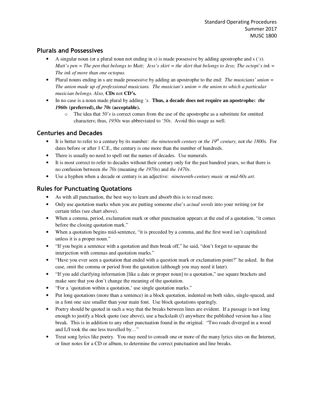#### **Plurals and Possessives**

- A singular noun (or a plural noun not ending in s) is made possessive by adding apostrophe and s (*'s*). *Matt's pen* = The pen that belongs to Matt; Jess's skirt = the skirt that belongs to Jess; The octopi's ink = *The ink of more than one octopus.*
- Plural nouns ending in s are made possessive by adding an apostrophe to the end: *The musicians' union = The union made up of professional musicians. The musician's union = the union to which a particular musician belongs. Also,* **CDs** not **CD's.**
- In no case is a noun made plural by adding *'s*. **Thus, a decade does not require an apostrophe:** *the 1960s* **(preferred),** *the 70s* **(acceptable).**
	- o The idea that *50's* is correct comes from the use of the apostrophe as a substitute for omitted characters; thus, *1950s* was abbreviated to *'50s*. Avoid this usage as well.

#### **Centuries and Decades**

- It is better to refer to a century by its number: *the nineteenth century* or *the 19th century,* not *the 1800s.* For dates before or after 1 C.E., the century is one more than the number of hundreds.
- There is usually no need to spell out the names of decades. Use numerals.
- It is most correct to refer to decades without their century only for the past hundred years, so that there is no confusion between *the 70s* (meaning *the 1970s*) and *the 1470s*.
- Use a hyphen when a decade or century is an adjective: *nineteenth-century music* or *mid-60s art*.

## **Rules for Punctuating Quotations**

- As with all punctuation, the best way to learn and absorb this is to read more.
- Only use quotation marks when you are putting someone else's *actual words* into your writing (or for certain titles (see chart above).
- When a comma, period, exclamation mark or other punctuation appears at the end of a quotation, "it comes before the closing quotation mark."
- When a quotation begins mid-sentence, "it is preceded by a comma, and the first word isn't capitalized unless it is a proper noun."
- "If you begin a sentence with a quotation and then break off," he said, "don't forget to separate the interjection with commas and quotation marks."
- "Have you ever seen a quotation that ended with a question mark or exclamation point?" he asked. In that case, omit the comma or period from the quotation (although you may need it later).
- "If you add clarifying information [like a date or proper noun] to a quotation," use square brackets and make sure that you don't change the meaning of the quotation.
- "For a 'quotation within a quotation,' use single quotation marks."
- Put long quotations (more than a sentence) in a block quotation, indented on both sides, single-spaced, and in a font one size smaller than your main font. Use block quotations sparingly.
- Poetry should be quoted in such a way that the breaks between lines are evident. If a passage is not long enough to justify a block quote (see above), use a backslash (*/*) anywhere the published version has a line break. This is in addition to any other punctuation found in the original. "Two roads diverged in a wood and I,/I took the one less travelled by…"
- Treat song lyrics like poetry. You may need to consult one or more of the many lyrics sites on the Internet, or liner notes for a CD or album, to determine the correct punctuation and line breaks.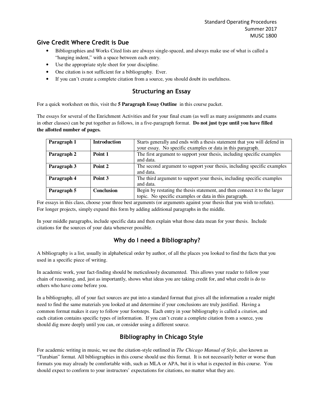#### **Give Credit Where Credit is Due**

- Bibliographies and Works Cited lists are always single-spaced, and always make use of what is called a "hanging indent," with a space between each entry.
- Use the appropriate style sheet for your discipline.
- One citation is not sufficient for a bibliography. Ever.
- If you can't create a complete citation from a source, you should doubt its usefulness.

#### **Structuring an Essay**

For a quick worksheet on this, visit the **5 Paragraph Essay Outline** in this course packet.

The essays for several of the Enrichment Activities and for your final exam (as well as many assignments and exams in other classes) can be put together as follows, in a five-paragraph format. **Do not just type until you have filled the allotted number of pages.**

| Paragraph 1 | <b>Introduction</b> | Starts generally and ends with a thesis statement that you will defend in<br>your essay. No specific examples or data in this paragraph. |
|-------------|---------------------|------------------------------------------------------------------------------------------------------------------------------------------|
| Paragraph 2 | Point 1             | The first argument to support your thesis, including specific examples<br>and data.                                                      |
| Paragraph 3 | Point 2             | The second argument to support your thesis, including specific examples<br>and data.                                                     |
| Paragraph 4 | Point 3             | The third argument to support your thesis, including specific examples<br>and data.                                                      |
| Paragraph 5 | Conclusion          | Begin by restating the thesis statement, and then connect it to the larger<br>topic. No specific examples or data in this paragraph.     |

For essays in this class, choose your three best arguments (or arguments against your thesis that you wish to refute). For longer projects, simply expand this form by adding additional paragraphs in the middle.

In your middle paragraphs, include specific data and then explain what those data mean for your thesis. Include citations for the sources of your data whenever possible.

## **Why do I need a Bibliography?**

A bibliography is a list, usually in alphabetical order by author, of all the places you looked to find the facts that you used in a specific piece of writing.

In academic work, your fact-finding should be meticulously documented. This allows your reader to follow your chain of reasoning, and, just as importantly, shows what ideas you are taking credit for, and what credit is do to others who have come before you.

In a bibliography, all of your fact sources are put into a standard format that gives all the information a reader might need to find the same materials you looked at and determine if your conclusions are truly justified. Having a common format makes it easy to follow your footsteps. Each entry in your bibliography is called a *citation*, and each citation contains specific types of information. If you can't create a complete citation from a source, you should dig more deeply until you can, or consider using a different source.

## **Bibliography in Chicago Style**

For academic writing in music, we use the citation-style outlined in *The Chicago Manual of Style*, also known as "Turabian" format. All bibliographies in this course should use this format. It is not necessarily better or worse than formats you may already be comfortable with, such as MLA or APA, but it is what is expected in this course. You should expect to conform to your instructors' expectations for citations, no matter what they are.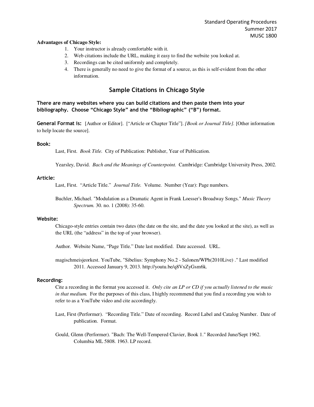#### **Advantages of Chicago Style:**

- 1. Your instructor is already comfortable with it.
- 2. Web citations include the URL, making it easy to find the website you looked at.
- 3. Recordings can be cited uniformly and completely.
- 4. There is generally no need to give the format of a source, as this is self-evident from the other information.

#### **Sample Citations in Chicago Style**

**There are many websites where you can build citations and then paste them into your bibliography. Choose "Chicago Style" and the "Bibliographic" ("B") format.** 

**General Format is:** [Author or Editor]. ["Article or Chapter Title"]. *[Book or Journal Title].* [Other information to help locate the source].

#### **Book:**

Last, First. *Book Title.* City of Publication: Publisher, Year of Publication.

Yearsley, David. *Bach and the Meanings of Counterpoint.* Cambridge: Cambridge University Press, 2002.

#### **Article:**

Last, First. "Article Title." *Journal Title.* Volume. Number (Year): Page numbers.

Buchler, Michael. "Modulation as a Dramatic Agent in Frank Loesser's Broadway Songs." *Music Theory Spectrum.* 30. no. 1 (2008): 35-60.

#### **Website:**

Chicago-style entries contain two dates (the date on the site, and the date you looked at the site), as well as the URL (the "address" in the top of your browser).

Author. Website Name, "Page Title." Date last modified. Date accessed. URL.

magischmeisjeorkest. YouTube, "Sibelius: Symphony No.2 - Salonen/WPh(2010Live) ." Last modified 2011. Accessed January 9, 2013. http://youtu.be/q8VxZyGsm6k.

#### **Recording:**

Cite a recording in the format you accessed it. *Only cite an LP or CD if you actually listened to the music in that medium.* For the purposes of this class, I highly recommend that you find a recording you wish to refer to as a YouTube video and cite accordingly.

Last, First (Performer). "Recording Title." Date of recording. Record Label and Catalog Number. Date of publication. Format.

Gould, Glenn (Performer). "Bach: The Well-Tempered Clavier, Book 1." Recorded June/Sept 1962. Columbia ML 5808. 1963. LP record.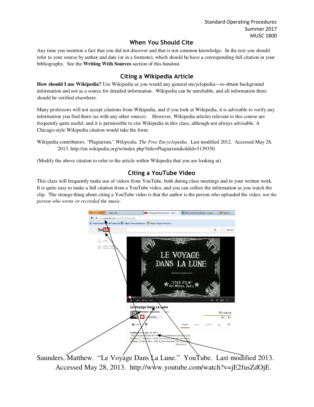## **When You Should Cite**

Any time you mention a fact that you did not discover and that is not common knowledge. In the text you should refer to your source by author and date (or in a footnote), which should be have a corresponding full citation in your bibliography. See the **Writing With Sources** section of this handout.

## **Citing a Wikipedia Article**

**How should I use Wikipedia?** Use Wikipedia as you would any general encyclopedia—to obtain background information and not as a source for detailed information. Wikipedia can be unreliable, and all information there should be verified elsewhere.

Many professors will not accept citations from Wikipedia, and if you look at Wikipedia, it is advisable to verify any information you find there (as with any other source). However, Wikipedia articles relevant to this course are frequently quite useful, and it is permissible to cite Wikipedia in this class, although not always advisable. A Chicago-style Wikipedia citation would take the form:

Wikipedia contributors. "Plagiarism," *Wikipedia, The Free Encyclopedia*. Last modified 2012. Accessed May 28, 2013. http://en.wikipedia.org/w/index.php?title=Plagiarism&oldid=5139350.

(Modify the above citation to refer to the article within Wikipedia that you are looking at).

## **Citing a YouTube Video**

This class will frequently make use of videos from YouTube, both during class meetings and in your written work. It is quite easy to make a full citation from a YouTube video, and you can collect the information as you watch the clip. The strange thing about citing a YouTube video is that the author is the person who uploaded the video, *not the person who wrote or recorded the music.*



Saunders, Matthew. "Le Voyage Dans La Lune." YouTube. Last modified 2013. Accessed May 28, 2013. http://www.youtube.com/watch?v=jE2fusZdOjE.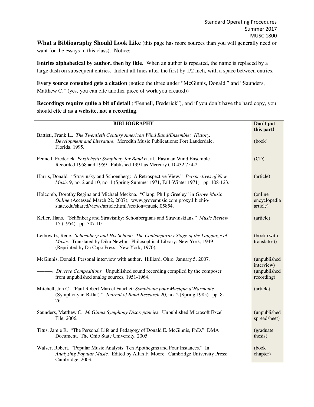**What a Bibliography Should Look Like** (this page has more sources than you will generally need or want for the essays in this class). Notice:

**Entries alphabetical by author, then by title.** When an author is repeated, the name is replaced by a large dash on subsequent entries. Indent all lines after the first by 1/2 inch, with a space between entries.

**Every source consulted gets a citation** (notice the three under "McGinnis, Donald." and "Saunders, Matthew C." (yes, you can cite another piece of work you created))

**Recordings require quite a bit of detail** ("Fennell, Frederick"), and if you don't have the hard copy, you should **cite it as a website, not a recording**.

| <b>BIBLIOGRAPHY</b>                                                                                                                                                                                                    |                                          |  |  |  |
|------------------------------------------------------------------------------------------------------------------------------------------------------------------------------------------------------------------------|------------------------------------------|--|--|--|
| Battisti, Frank L The Twentieth Century American Wind Band/Ensemble: History,<br>Development and Literature. Meredith Music Publications: Fort Lauderdale,<br>Florida, 1995.                                           | this part!<br>(book)                     |  |  |  |
| Fennell, Frederick. Persichetti: Symphony for Band et. al. Eastman Wind Ensemble.<br>Recorded 1958 and 1959. Published 1991 as Mercury CD 432 754-2.                                                                   |                                          |  |  |  |
| Harris, Donald. "Stravinsky and Schoenberg: A Retrospective View." Perspectives of New<br><i>Music</i> 9, no. 2 and 10, no. 1 (Spring-Summer 1971, Fall-Winter 1971). pp. 108-123.                                     |                                          |  |  |  |
| Holcomb, Dorothy Regina and Michael Meckna. "Clapp, Philip Greeley" in Grove Music<br>Online (Accessed March 22, 2007), www.grovemusic.com.proxy.lib.ohio-<br>state.edu/shared/views/article.html?section=music.05854. |                                          |  |  |  |
| Keller, Hans. "Schönberg and Stravisnky: Schönbergians and Stravinskians." Music Review<br>15 (1954). pp. 307-10.                                                                                                      |                                          |  |  |  |
| Leibowitz, Rene. Schoenberg and His School: The Contemporary Stage of the Language of<br>Music. Translated by Dika Newlin. Philosophical Library: New York, 1949<br>(Reprinted by Da Capo Press: New York, 1970).      |                                          |  |  |  |
| McGinnis, Donald. Personal interview with author. Hilliard, Ohio. January 5, 2007.                                                                                                                                     |                                          |  |  |  |
| from unpublished analog sources, 1951-1964.                                                                                                                                                                            | interview)<br>(unpublished<br>recording) |  |  |  |
| Mitchell, Jon C. "Paul Robert Marcel Fauchet: Symphonie pour Musique d'Harmonie<br>(Symphony in B-flat)." Journal of Band Research 20, no. 2 (Spring 1985). pp. 8-<br>26.                                              |                                          |  |  |  |
| Saunders, Matthew C. McGinnis Symphony Discrepancies. Unpublished Microsoft Excel<br>File, 2006.                                                                                                                       |                                          |  |  |  |
| Titus, Jamie R. "The Personal Life and Pedagogy of Donald E. McGinnis, PhD." DMA<br>Document. The Ohio State University, 2005                                                                                          |                                          |  |  |  |
| Walser, Robert. "Popular Music Analysis: Ten Apothegms and Four Instances." In<br>Analyzing Popular Music. Edited by Allan F. Moore. Cambridge University Press:<br>Cambridge, 2003.                                   |                                          |  |  |  |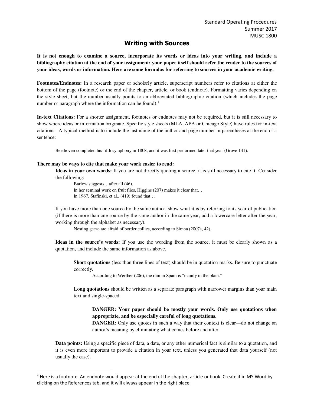#### **Writing with Sources**

**It is not enough to examine a source, incorporate its words or ideas into your writing, and include a bibliography citation at the end of your assignment: your paper itself should refer the reader to the sources of your ideas, words or information. Here are some formulas for referring to sources in your academic writing.** 

**Footnotes/Endnotes:** In a research paper or scholarly article, superscript numbers refer to citations at either the bottom of the page (footnote) or the end of the chapter, article, or book (endnote). Formatting varies depending on the style sheet, but the number usually points to an abbreviated bibliographic citation (which includes the page number or paragraph where the information can be found).<sup>1</sup>

**In-text Citations:** For a shorter assignment, footnotes or endnotes may not be required, but it is still necessary to show where ideas or information originate. Specific style sheets (MLA, APA or Chicago Style) have rules for in-text citations. A typical method is to include the last name of the author and page number in parentheses at the end of a sentence:

Beethoven completed his fifth symphony in 1808, and it was first performed later that year (Grove 141).

#### **There may be ways to cite that make your work easier to read:**

 $\overline{a}$ 

**Ideas in your own words:** If you are not directly quoting a source, it is still necessary to cite it. Consider the following:

Barlow suggests…after all (46). In her seminal work on fruit flies, Higgins (207) makes it clear that... In 1967, Stafinski, et al., (419) found that…

If you have more than one source by the same author, show what it is by referring to its year of publication (if there is more than one source by the same author in the same year, add a lowercase letter after the year, working through the alphabet as necessary).

Nesting geese are afraid of border collies, according to Simna (2007a, 42).

**Ideas in the source's words:** If you use the wording from the source, it must be clearly shown as a quotation, and include the same information as above.

**Short quotations** (less than three lines of text) should be in quotation marks. Be sure to punctuate correctly.

According to Werther (206), the rain in Spain is "mainly in the plain."

Long quotations should be written as a separate paragraph with narrower margins than your main text and single-spaced.

#### **DANGER: Your paper should be mostly your words. Only use quotations when appropriate, and be especially careful of long quotations.**

**DANGER:** Only use quotes in such a way that their context is clear—do not change an author's meaning by eliminating what comes before and after.

**Data points:** Using a specific piece of data, a date, or any other numerical fact is similar to a quotation, and it is even more important to provide a citation in your text, unless you generated that data yourself (not usually the case).

 $^1$  Here is a footnote. An endnote would appear at the end of the chapter, article or book. Create it in MS Word by clicking on the References tab, and it will always appear in the right place.